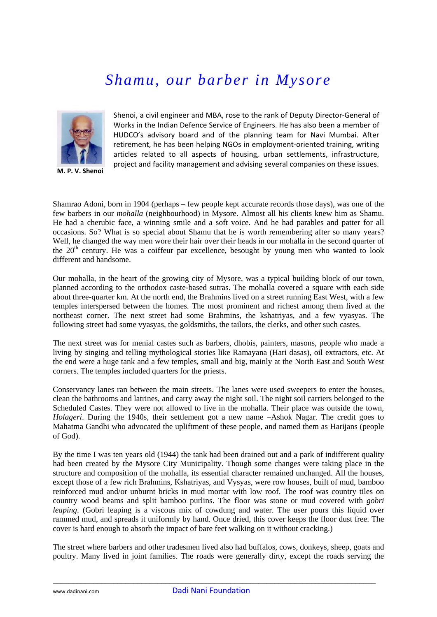## *Shamu, our barber in Mysore*



**M. P. V. Shenoi**

Shenoi, a civil engineer and MBA, rose to the rank of Deputy Director‐General of Works in the Indian Defence Service of Engineers. He has also been a member of HUDCO's advisory board and of the planning team for Navi Mumbai. After retirement, he has been helping NGOs in employment‐oriented training, writing articles related to all aspects of housing, urban settlements, infrastructure, project and facility management and advising several companies on these issues.

Shamrao Adoni, born in 1904 (perhaps – few people kept accurate records those days), was one of the few barbers in our *mohalla* (neighbourhood) in Mysore. Almost all his clients knew him as Shamu. He had a cherubic face, a winning smile and a soft voice. And he had parables and patter for all occasions. So? What is so special about Shamu that he is worth remembering after so many years? Well, he changed the way men wore their hair over their heads in our mohalla in the second quarter of the  $20<sup>th</sup>$  century. He was a coiffeur par excellence, besought by young men who wanted to look different and handsome.

Our mohalla, in the heart of the growing city of Mysore, was a typical building block of our town, planned according to the orthodox caste-based sutras. The mohalla covered a square with each side about three-quarter km. At the north end, the Brahmins lived on a street running East West, with a few temples interspersed between the homes. The most prominent and richest among them lived at the northeast corner. The next street had some Brahmins, the kshatriyas, and a few vyasyas. The following street had some vyasyas, the goldsmiths, the tailors, the clerks, and other such castes.

The next street was for menial castes such as barbers, dhobis, painters, masons, people who made a living by singing and telling mythological stories like Ramayana (Hari dasas), oil extractors, etc. At the end were a huge tank and a few temples, small and big, mainly at the North East and South West corners. The temples included quarters for the priests.

Conservancy lanes ran between the main streets. The lanes were used sweepers to enter the houses, clean the bathrooms and latrines, and carry away the night soil. The night soil carriers belonged to the Scheduled Castes. They were not allowed to live in the mohalla. Their place was outside the town, *Holageri*. During the 1940s, their settlement got a new name –Ashok Nagar. The credit goes to Mahatma Gandhi who advocated the upliftment of these people, and named them as Harijans (people of God).

By the time I was ten years old (1944) the tank had been drained out and a park of indifferent quality had been created by the Mysore City Municipality. Though some changes were taking place in the structure and composition of the mohalla, its essential character remained unchanged. All the houses, except those of a few rich Brahmins, Kshatriyas, and Vysyas, were row houses, built of mud, bamboo reinforced mud and/or unburnt bricks in mud mortar with low roof. The roof was country tiles on country wood beams and split bamboo purlins. The floor was stone or mud covered with *gobri leaping*. (Gobri leaping is a viscous mix of cowdung and water. The user pours this liquid over rammed mud, and spreads it uniformly by hand. Once dried, this cover keeps the floor dust free. The cover is hard enough to absorb the impact of bare feet walking on it without cracking.)

The street where barbers and other tradesmen lived also had buffalos, cows, donkeys, sheep, goats and poultry. Many lived in joint families. The roads were generally dirty, except the roads serving the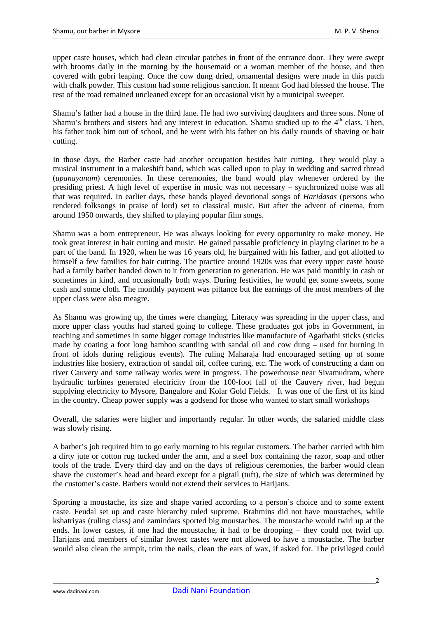upper caste houses, which had clean circular patches in front of the entrance door. They were swept with brooms daily in the morning by the housemaid or a woman member of the house, and then covered with gobri leaping. Once the cow dung dried, ornamental designs were made in this patch with chalk powder. This custom had some religious sanction. It meant God had blessed the house. The rest of the road remained uncleaned except for an occasional visit by a municipal sweeper.

Shamu's father had a house in the third lane. He had two surviving daughters and three sons. None of Shamu's brothers and sisters had any interest in education. Shamu studied up to the  $4<sup>th</sup>$  class. Then, his father took him out of school, and he went with his father on his daily rounds of shaving or hair cutting.

In those days, the Barber caste had another occupation besides hair cutting. They would play a musical instrument in a makeshift band, which was called upon to play in wedding and sacred thread (*upanayanam*) ceremonies. In these ceremonies, the band would play whenever ordered by the presiding priest. A high level of expertise in music was not necessary – synchronized noise was all that was required. In earlier days, these bands played devotional songs of *Haridasas* (persons who rendered folksongs in praise of lord) set to classical music. But after the advent of cinema, from around 1950 onwards, they shifted to playing popular film songs.

Shamu was a born entrepreneur. He was always looking for every opportunity to make money. He took great interest in hair cutting and music. He gained passable proficiency in playing clarinet to be a part of the band. In 1920, when he was 16 years old, he bargained with his father, and got allotted to himself a few families for hair cutting. The practice around 1920s was that every upper caste house had a family barber handed down to it from generation to generation. He was paid monthly in cash or sometimes in kind, and occasionally both ways. During festivities, he would get some sweets, some cash and some cloth. The monthly payment was pittance but the earnings of the most members of the upper class were also meagre.

As Shamu was growing up, the times were changing. Literacy was spreading in the upper class, and more upper class youths had started going to college. These graduates got jobs in Government, in teaching and sometimes in some bigger cottage industries like manufacture of Agarbathi sticks (sticks made by coating a foot long bamboo scantling with sandal oil and cow dung – used for burning in front of idols during religious events). The ruling Maharaja had encouraged setting up of some industries like hosiery, extraction of sandal oil, coffee curing, etc. The work of constructing a dam on river Cauvery and some railway works were in progress. The powerhouse near Sivamudram, where hydraulic turbines generated electricity from the 100-foot fall of the Cauvery river, had begun supplying electricity to Mysore, Bangalore and Kolar Gold Fields. It was one of the first of its kind in the country. Cheap power supply was a godsend for those who wanted to start small workshops

Overall, the salaries were higher and importantly regular. In other words, the salaried middle class was slowly rising.

A barber's job required him to go early morning to his regular customers. The barber carried with him a dirty jute or cotton rug tucked under the arm, and a steel box containing the razor, soap and other tools of the trade. Every third day and on the days of religious ceremonies, the barber would clean shave the customer's head and beard except for a pigtail (tuft), the size of which was determined by the customer's caste. Barbers would not extend their services to Harijans.

Sporting a moustache, its size and shape varied according to a person's choice and to some extent caste. Feudal set up and caste hierarchy ruled supreme. Brahmins did not have moustaches, while kshatriyas (ruling class) and zamindars sported big moustaches. The moustache would twirl up at the ends. In lower castes, if one had the moustache, it had to be drooping – they could not twirl up. Harijans and members of similar lowest castes were not allowed to have a moustache. The barber would also clean the armpit, trim the nails, clean the ears of wax, if asked for. The privileged could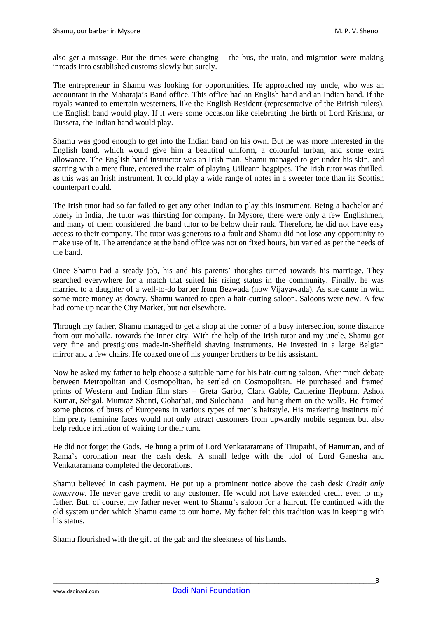also get a massage. But the times were changing – the bus, the train, and migration were making inroads into established customs slowly but surely.

The entrepreneur in Shamu was looking for opportunities. He approached my uncle, who was an accountant in the Maharaja's Band office. This office had an English band and an Indian band. If the royals wanted to entertain westerners, like the English Resident (representative of the British rulers), the English band would play. If it were some occasion like celebrating the birth of Lord Krishna, or Dussera, the Indian band would play.

Shamu was good enough to get into the Indian band on his own. But he was more interested in the English band, which would give him a beautiful uniform, a colourful turban, and some extra allowance. The English band instructor was an Irish man. Shamu managed to get under his skin, and starting with a mere flute, entered the realm of playing Uilleann bagpipes. The Irish tutor was thrilled, as this was an Irish instrument. It could play a wide range of notes in a sweeter tone than its Scottish counterpart could.

The Irish tutor had so far failed to get any other Indian to play this instrument. Being a bachelor and lonely in India, the tutor was thirsting for company. In Mysore, there were only a few Englishmen, and many of them considered the band tutor to be below their rank. Therefore, he did not have easy access to their company. The tutor was generous to a fault and Shamu did not lose any opportunity to make use of it. The attendance at the band office was not on fixed hours, but varied as per the needs of the band.

Once Shamu had a steady job, his and his parents' thoughts turned towards his marriage. They searched everywhere for a match that suited his rising status in the community. Finally, he was married to a daughter of a well-to-do barber from Bezwada (now Vijayawada). As she came in with some more money as dowry, Shamu wanted to open a hair-cutting saloon. Saloons were new. A few had come up near the City Market, but not elsewhere.

Through my father, Shamu managed to get a shop at the corner of a busy intersection, some distance from our mohalla, towards the inner city. With the help of the Irish tutor and my uncle, Shamu got very fine and prestigious made-in-Sheffield shaving instruments. He invested in a large Belgian mirror and a few chairs. He coaxed one of his younger brothers to be his assistant.

Now he asked my father to help choose a suitable name for his hair-cutting saloon. After much debate between Metropolitan and Cosmopolitan, he settled on Cosmopolitan. He purchased and framed prints of Western and Indian film stars – Greta Garbo, Clark Gable, Catherine Hepburn, Ashok Kumar, Sehgal, Mumtaz Shanti, Goharbai, and Sulochana – and hung them on the walls. He framed some photos of busts of Europeans in various types of men's hairstyle. His marketing instincts told him pretty feminine faces would not only attract customers from upwardly mobile segment but also help reduce irritation of waiting for their turn.

He did not forget the Gods. He hung a print of Lord Venkataramana of Tirupathi, of Hanuman, and of Rama's coronation near the cash desk. A small ledge with the idol of Lord Ganesha and Venkataramana completed the decorations.

Shamu believed in cash payment. He put up a prominent notice above the cash desk *Credit only tomorrow*. He never gave credit to any customer. He would not have extended credit even to my father. But, of course, my father never went to Shamu's saloon for a haircut. He continued with the old system under which Shamu came to our home. My father felt this tradition was in keeping with his status.

Shamu flourished with the gift of the gab and the sleekness of his hands.